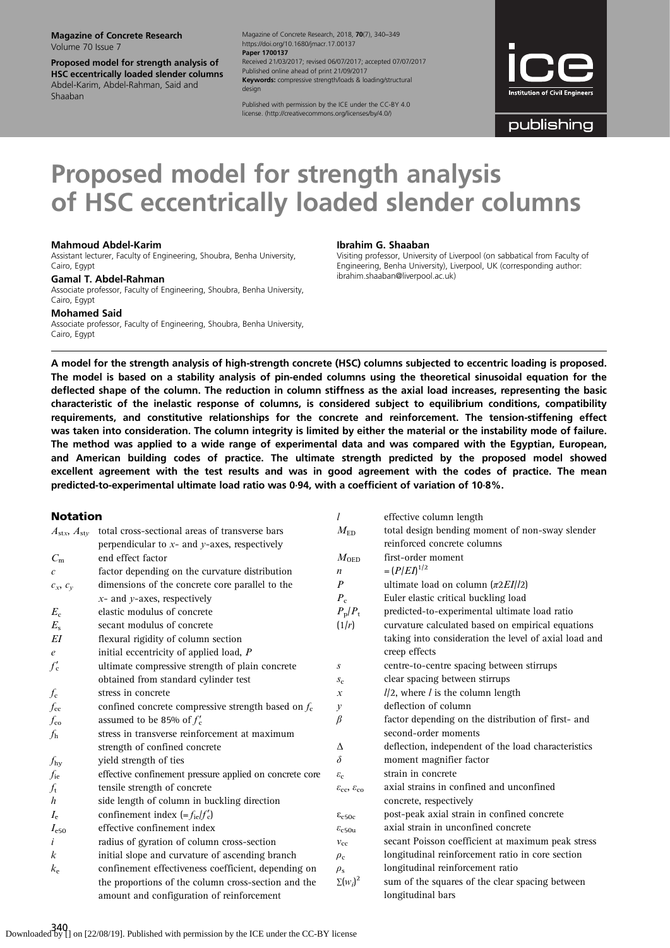Magazine of Concrete Research Volume 70 Issue 7

Proposed model for strength analysis of HSC eccentrically loaded slender columns Abdel-Karim, Abdel-Rahman, Said and Shaaban

Magazine of Concrete Research, 2018, 70(7), 340–349 https://doi.org/10.1680/jmacr.17.00137 Paper 1700137 Received 21/03/2017; revised 06/07/2017; accepted 07/07/2017 Published online ahead of print 21/09/2017 Keywords: compressive strength/loads & loading/structural design

Published with permission by the ICE under the CC-BY 4.0 license. [\(http://creativecommons.org/licenses/by/4.0/](http://creativecommons.org/licenses/by/4.0/))

| <b>Institution of Civil Engineers</b> |
|---------------------------------------|

publishing

# Proposed model for strength analysis of HSC eccentrically loaded slender columns

#### Mahmoud Abdel-Karim

Assistant lecturer, Faculty of Engineering, Shoubra, Benha University, Cairo, Egypt

#### Gamal T. Abdel-Rahman

Associate professor, Faculty of Engineering, Shoubra, Benha University, Cairo, Egypt

Mohamed Said

Associate professor, Faculty of Engineering, Shoubra, Benha University, Cairo, Egypt

#### Ibrahim G. Shaaban

l effective column length

Visiting professor, University of Liverpool (on sabbatical from Faculty of Engineering, Benha University), Liverpool, UK (corresponding author: [ibrahim.shaaban@liverpool.ac.uk](mailto:ibrahim.shaaban@liverpool.ac.uk))

A model for the strength analysis of high-strength concrete (HSC) columns subjected to eccentric loading is proposed. The model is based on a stability analysis of pin-ended columns using the theoretical sinusoidal equation for the deflected shape of the column. The reduction in column stiffness as the axial load increases, representing the basic characteristic of the inelastic response of columns, is considered subject to equilibrium conditions, compatibility requirements, and constitutive relationships for the concrete and reinforcement. The tension-stiffening effect was taken into consideration. The column integrity is limited by either the material or the instability mode of failure. The method was applied to a wide range of experimental data and was compared with the Egyptian, European, and American building codes of practice. The ultimate strength predicted by the proposed model showed excellent agreement with the test results and was in good agreement with the codes of practice. The mean predicted-to-experimental ultimate load ratio was 0·94, with a coefficient of variation of 10·8%.

# Notation

| ושטנפנוטו                        |                                                         |                                                 | enceuve communicação                                  |
|----------------------------------|---------------------------------------------------------|-------------------------------------------------|-------------------------------------------------------|
| $A_{\text{stx}}, A_{\text{sty}}$ | total cross-sectional areas of transverse bars          | $M_{\rm ED}$                                    | total design bending moment of non-sway slender       |
|                                  | perpendicular to $x$ - and $y$ -axes, respectively      |                                                 | reinforced concrete columns                           |
| $C_{\rm m}$                      | end effect factor                                       | $M_{\rm OED}$                                   | first-order moment                                    |
| $\mathcal{C}_{\mathcal{C}}$      | factor depending on the curvature distribution          | $\boldsymbol{n}$                                | $=(P/ED^{1/2})$                                       |
| $c_x, c_y$                       | dimensions of the concrete core parallel to the         | $\boldsymbol{P}$                                | ultimate load on column $(\pi 2EI/l2)$                |
|                                  | $x$ - and $y$ -axes, respectively                       | $P_{\rm c}$                                     | Euler elastic critical buckling load                  |
| $E_{\rm c}$                      | elastic modulus of concrete                             | $P_{\rm p}/P_{\rm t}$                           | predicted-to-experimental ultimate load ratio         |
| $E_{\rm s}$                      | secant modulus of concrete                              | (1/r)                                           | curvature calculated based on empirical equations     |
| EI                               | flexural rigidity of column section                     |                                                 | taking into consideration the level of axial load and |
| e                                | initial eccentricity of applied load, P                 |                                                 | creep effects                                         |
| $f'_{\mathbf{c}}$                | ultimate compressive strength of plain concrete         | S                                               | centre-to-centre spacing between stirrups             |
|                                  | obtained from standard cylinder test                    | $S_{\rm C}$                                     | clear spacing between stirrups                        |
| $f_{\rm c}$                      | stress in concrete                                      | $\boldsymbol{x}$                                | $1/2$ , where $l$ is the column length                |
| $f_{\rm cc}$                     | confined concrete compressive strength based on $f_c$   | у                                               | deflection of column                                  |
| $f_{\rm co}$                     | assumed to be 85% of $f'_c$                             | $\beta$                                         | factor depending on the distribution of first- and    |
| $f_{\rm h}$                      | stress in transverse reinforcement at maximum           |                                                 | second-order moments                                  |
|                                  | strength of confined concrete                           | Δ                                               | deflection, independent of the load characteristics   |
| $f_{\rm hy}$                     | yield strength of ties                                  | $\delta$                                        | moment magnifier factor                               |
| $f_{\rm ie}$                     | effective confinement pressure applied on concrete core | $\varepsilon_c$                                 | strain in concrete                                    |
| $f_{\rm t}$                      | tensile strength of concrete                            | $\varepsilon_{\rm cc}$ , $\varepsilon_{\rm co}$ | axial strains in confined and unconfined              |
| $\boldsymbol{h}$                 | side length of column in buckling direction             |                                                 | concrete, respectively                                |
| $I_{\rm e}$                      | confinement index $(=f_{\text{ie}}/f'_{\text{c}})$      | $\epsilon_{c50c}$                               | post-peak axial strain in confined concrete           |
| $I_{\rm e50}$                    | effective confinement index                             | $\varepsilon_{c50u}$                            | axial strain in unconfined concrete                   |
| i                                | radius of gyration of column cross-section              | $v_{\rm cc}$                                    | secant Poisson coefficient at maximum peak stress     |
| k                                | initial slope and curvature of ascending branch         | $\rho_c$                                        | longitudinal reinforcement ratio in core section      |
| $k_{\rm e}$                      | confinement effectiveness coefficient, depending on     | $\rho_{\rm s}$                                  | longitudinal reinforcement ratio                      |
|                                  | the proportions of the column cross-section and the     | $\Sigma(w_i)^2$                                 | sum of the squares of the clear spacing between       |
|                                  | amount and configuration of reinforcement               |                                                 | longitudinal bars                                     |
|                                  |                                                         |                                                 |                                                       |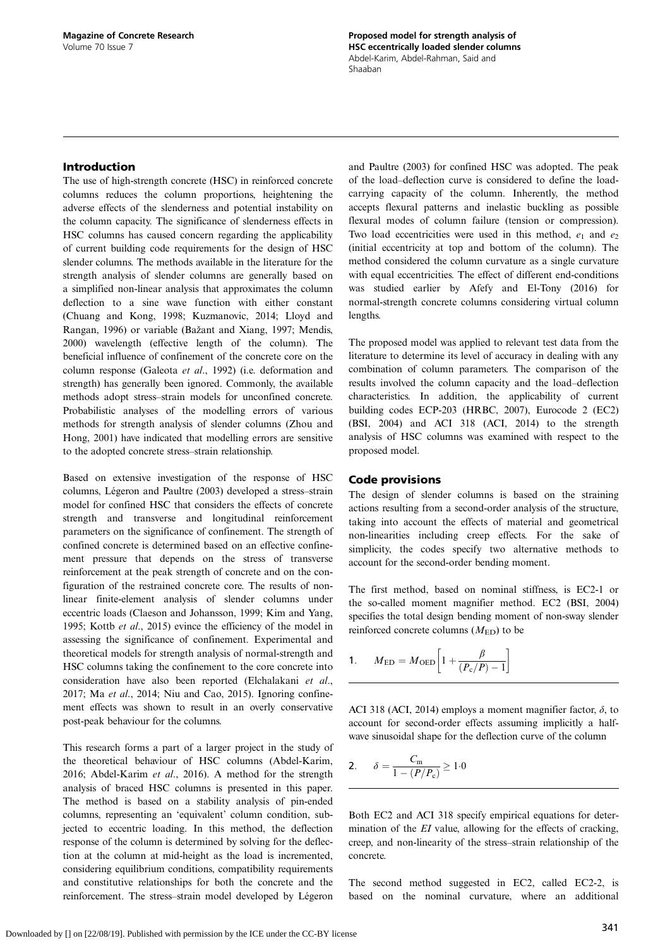# <span id="page-1-0"></span>Introduction

The use of high-strength concrete (HSC) in reinforced concrete columns reduces the column proportions, heightening the adverse effects of the slenderness and potential instability on the column capacity. The significance of slenderness effects in HSC columns has caused concern regarding the applicability of current building code requirements for the design of HSC slender columns. The methods available in the literature for the strength analysis of slender columns are generally based on a simplified non-linear analysis that approximates the column deflection to a sine wave function with either constant ([Chuang and Kong, 1998](#page-8-0); [Kuzmanovic, 2014](#page-9-0); [Lloyd and](#page-9-0) [Rangan, 1996\)](#page-9-0) or variable (Baž[ant and Xiang, 1997](#page-8-0); [Mendis,](#page-9-0) [2000\)](#page-9-0) wavelength (effective length of the column). The beneficial influence of confinement of the concrete core on the column response ([Galeota](#page-9-0) et al., 1992) (i.e. deformation and strength) has generally been ignored. Commonly, the available methods adopt stress–strain models for unconfined concrete. Probabilistic analyses of the modelling errors of various methods for strength analysis of slender columns ([Zhou and](#page-9-0) [Hong, 2001](#page-9-0)) have indicated that modelling errors are sensitive to the adopted concrete stress–strain relationship.

Based on extensive investigation of the response of HSC columns, [Légeron and Paultre \(2003\)](#page-9-0) developed a stress–strain model for confined HSC that considers the effects of concrete strength and transverse and longitudinal reinforcement parameters on the significance of confinement. The strength of confined concrete is determined based on an effective confinement pressure that depends on the stress of transverse reinforcement at the peak strength of concrete and on the configuration of the restrained concrete core. The results of nonlinear finite-element analysis of slender columns under eccentric loads ([Claeson and Johansson, 1999](#page-9-0); [Kim and Yang,](#page-9-0) [1995;](#page-9-0) Kottb et al[., 2015\)](#page-9-0) evince the efficiency of the model in assessing the significance of confinement. Experimental and theoretical models for strength analysis of normal-strength and HSC columns taking the confinement to the core concrete into consideration have also been reported [\(Elchalakani](#page-9-0) et al., [2017;](#page-9-0) Ma et al[., 2014; Niu and Cao, 2015](#page-9-0)). Ignoring confinement effects was shown to result in an overly conservative post-peak behaviour for the columns.

This research forms a part of a larger project in the study of the theoretical behaviour of HSC columns ([Abdel-Karim,](#page-8-0) [2016; Abdel-Karim](#page-8-0) et al., 2016). A method for the strength analysis of braced HSC columns is presented in this paper. The method is based on a stability analysis of pin-ended columns, representing an 'equivalent' column condition, subjected to eccentric loading. In this method, the deflection response of the column is determined by solving for the deflection at the column at mid-height as the load is incremented, considering equilibrium conditions, compatibility requirements and constitutive relationships for both the concrete and the reinforcement. The stress–strain model developed by [Légeron](#page-9-0)

[and Paultre \(2003\)](#page-9-0) for confined HSC was adopted. The peak of the load–deflection curve is considered to define the loadcarrying capacity of the column. Inherently, the method accepts flexural patterns and inelastic buckling as possible flexural modes of column failure (tension or compression). Two load eccentricities were used in this method,  $e_1$  and  $e_2$ (initial eccentricity at top and bottom of the column). The method considered the column curvature as a single curvature with equal eccentricities. The effect of different end-conditions was studied earlier by [Afefy and El-Tony \(2016\)](#page-8-0) for normal-strength concrete columns considering virtual column lengths.

The proposed model was applied to relevant test data from the literature to determine its level of accuracy in dealing with any combination of column parameters. The comparison of the results involved the column capacity and the load–deflection characteristics. In addition, the applicability of current building codes ECP-203 [\(HRBC, 2007](#page-9-0)), Eurocode 2 (EC2) ([BSI, 2004\)](#page-8-0) and ACI 318 [\(ACI, 2014](#page-8-0)) to the strength analysis of HSC columns was examined with respect to the proposed model.

## Code provisions

The design of slender columns is based on the straining actions resulting from a second-order analysis of the structure, taking into account the effects of material and geometrical non-linearities including creep effects. For the sake of simplicity, the codes specify two alternative methods to account for the second-order bending moment.

The first method, based on nominal stiffness, is EC2-1 or the so-called moment magnifier method. EC2 ([BSI, 2004](#page-8-0)) specifies the total design bending moment of non-sway slender reinforced concrete columns  $(M_{ED})$  to be

$$
1. \qquad M_{\rm ED} = M_{\rm OED} \left[ 1 + \frac{\beta}{(P_{\rm c}/P) - 1} \right]
$$

ACI 318 ([ACI, 2014\)](#page-8-0) employs a moment magnifier factor,  $\delta$ , to account for second-order effects assuming implicitly a halfwave sinusoidal shape for the deflection curve of the column

2. 
$$
\delta = \frac{C_m}{1 - (P/P_c)} \ge 1.0
$$

Both EC2 and ACI 318 specify empirical equations for determination of the EI value, allowing for the effects of cracking, creep, and non-linearity of the stress–strain relationship of the concrete.

The second method suggested in EC2, called EC2-2, is based on the nominal curvature, where an additional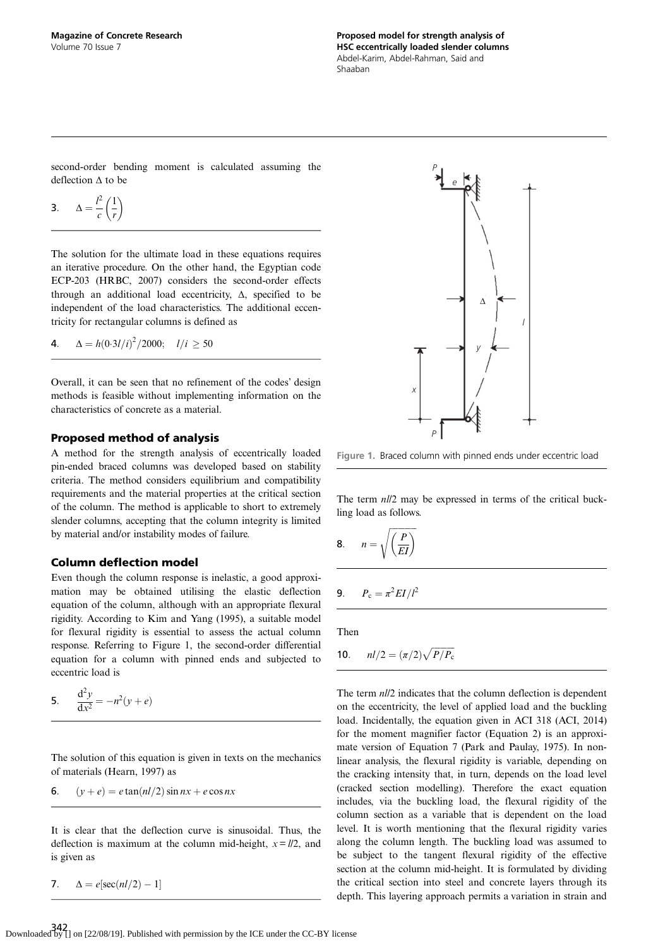<span id="page-2-0"></span>second-order bending moment is calculated assuming the deflection Δ to be

$$
3. \qquad \Delta = \frac{l^2}{c} \left( \frac{1}{r} \right)
$$

The solution for the ultimate load in these equations requires an iterative procedure. On the other hand, the Egyptian code ECP-203 [\(HRBC, 2007\)](#page-9-0) considers the second-order effects through an additional load eccentricity, Δ, specified to be independent of the load characteristics. The additional eccentricity for rectangular columns is defined as

**4.** 
$$
\Delta = h(0.3l/i)^2/2000; \quad l/i \ge 50
$$

Overall, it can be seen that no refinement of the codes' design methods is feasible without implementing information on the characteristics of concrete as a material.

# Proposed method of analysis

A method for the strength analysis of eccentrically loaded pin-ended braced columns was developed based on stability criteria. The method considers equilibrium and compatibility requirements and the material properties at the critical section of the column. The method is applicable to short to extremely slender columns, accepting that the column integrity is limited by material and/or instability modes of failure.

# Column deflection model

Even though the column response is inelastic, a good approximation may be obtained utilising the elastic deflection equation of the column, although with an appropriate flexural rigidity. According to [Kim and Yang \(1995\)](#page-9-0), a suitable model for flexural rigidity is essential to assess the actual column response. Referring to Figure 1, the second-order differential equation for a column with pinned ends and subjected to eccentric load is

5. 
$$
\frac{d^2y}{dx^2} = -n^2(y + e)
$$

The solution of this equation is given in texts on the mechanics of materials ([Hearn, 1997](#page-9-0)) as

6. 
$$
(y + e) = e \tan(nl/2) \sin nx + e \cos nx
$$

It is clear that the deflection curve is sinusoidal. Thus, the deflection is maximum at the column mid-height,  $x = l/2$ , and is given as

7. 
$$
\Delta = e[\sec(nl/2) - 1]
$$



Figure 1. Braced column with pinned ends under eccentric load

The term  $nll2$  may be expressed in terms of the critical buckling load as follows.

$$
8. \qquad n = \sqrt{\left(\frac{P}{EI}\right)}
$$

$$
9. \qquad P_{\rm c} = \pi^2 EI/l^2
$$

Then

**10.** 
$$
nl/2 = (\pi/2)\sqrt{P/P_c}
$$

The term  $nll/2$  indicates that the column deflection is dependent on the eccentricity, the level of applied load and the buckling load. Incidentally, the equation given in ACI 318 ([ACI, 2014](#page-8-0)) for the moment magnifier factor [\(Equation 2\)](#page-1-0) is an approximate version of Equation 7 [\(Park and Paulay, 1975\)](#page-9-0). In nonlinear analysis, the flexural rigidity is variable, depending on the cracking intensity that, in turn, depends on the load level (cracked section modelling). Therefore the exact equation includes, via the buckling load, the flexural rigidity of the column section as a variable that is dependent on the load level. It is worth mentioning that the flexural rigidity varies along the column length. The buckling load was assumed to be subject to the tangent flexural rigidity of the effective section at the column mid-height. It is formulated by dividing the critical section into steel and concrete layers through its depth. This layering approach permits a variation in strain and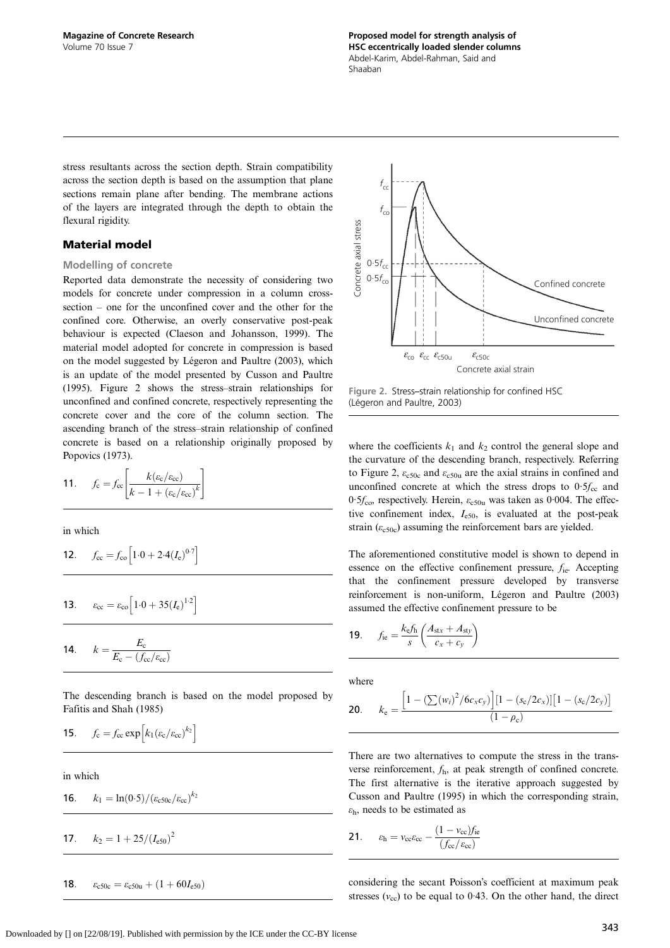stress resultants across the section depth. Strain compatibility across the section depth is based on the assumption that plane sections remain plane after bending. The membrane actions of the layers are integrated through the depth to obtain the flexural rigidity.

## Material model

#### Modelling of concrete

Reported data demonstrate the necessity of considering two models for concrete under compression in a column crosssection – one for the unconfined cover and the other for the confined core. Otherwise, an overly conservative post-peak behaviour is expected [\(Claeson and Johansson, 1999](#page-9-0)). The material model adopted for concrete in compression is based on the model suggested by [Légeron and Paultre \(2003\),](#page-9-0) which is an update of the model presented by [Cusson and Paultre](#page-9-0) [\(1995\).](#page-9-0) Figure 2 shows the stress–strain relationships for unconfined and confined concrete, respectively representing the concrete cover and the core of the column section. The ascending branch of the stress–strain relationship of confined concrete is based on a relationship originally proposed by [Popovics \(1973\).](#page-9-0)

$$
11. \qquad f_{\rm c} = f_{\rm cc} \left[ \frac{k(\varepsilon_{\rm c}/\varepsilon_{\rm cc})}{k - 1 + (\varepsilon_{\rm c}/\varepsilon_{\rm cc})^k} \right]
$$

in which

$$
12. \qquad f_{\rm cc} = f_{\rm co} \left[ 1.0 + 2.4 (I_{\rm e})^{0.7} \right]
$$

**13.** 
$$
\varepsilon_{cc} = \varepsilon_{co} \left[ 1.0 + 35 (I_e)^{1.2} \right]
$$

$$
14. \qquad k = \frac{E_{\rm c}}{E_{\rm c} - (f_{\rm cc}/\varepsilon_{\rm cc})}
$$

The descending branch is based on the model proposed by [Fafitis and Shah \(1985\)](#page-9-0)

$$
15. \qquad f_{\rm c} = f_{\rm cc} \exp \left[ k_1 (\varepsilon_{\rm c}/\varepsilon_{\rm cc})^{k_2} \right]
$$

in which

**16.** 
$$
k_1 = \ln(0.5) / (\varepsilon_{c50c} / \varepsilon_{cc})^{k_2}
$$

$$
k_2 = 1 + 25/(I_{e50})^2
$$

18.  $\varepsilon_{c50c} = \varepsilon_{c50u} + (1 + 60I_{e50})$ 



Figure 2. Stress–strain relationship for confined HSC [\(Légeron and Paultre, 2003\)](#page-9-0)

where the coefficients  $k_1$  and  $k_2$  control the general slope and the curvature of the descending branch, respectively. Referring to Figure 2,  $\varepsilon_{c50c}$  and  $\varepsilon_{c50u}$  are the axial strains in confined and unconfined concrete at which the stress drops to  $0.5f_{cc}$  and 0.5 $f_{\rm{co}}$ , respectively. Herein,  $\varepsilon_{\rm{c50u}}$  was taken as 0.004. The effective confinement index,  $I_{e50}$ , is evaluated at the post-peak strain ( $\varepsilon_{c,50c}$ ) assuming the reinforcement bars are yielded.

The aforementioned constitutive model is shown to depend in essence on the effective confinement pressure,  $f_{ie}$ . Accepting that the confinement pressure developed by transverse reinforcement is non-uniform, [Légeron and Paultre \(2003\)](#page-9-0) assumed the effective confinement pressure to be

$$
19. \qquad f_{\rm ie} = \frac{k_{\rm e} f_{\rm h}}{s} \left( \frac{A_{\rm stx} + A_{\rm sty}}{c_x + c_y} \right)
$$

where

$$
\textbf{20.} \qquad k_{\text{e}} = \frac{\left[1 - \left(\sum(w_i)^2 / 6c_x c_y\right)\right] \left[1 - \left(s_{\text{c}} / 2c_x\right)\right] \left[1 - \left(s_{\text{c}} / 2c_y\right)\right]}{\left(1 - \rho_{\text{c}}\right)}
$$

There are two alternatives to compute the stress in the transverse reinforcement,  $f<sub>h</sub>$ , at peak strength of confined concrete. The first alternative is the iterative approach suggested by [Cusson and Paultre \(1995\)](#page-9-0) in which the corresponding strain,  $\varepsilon_{h}$ , needs to be estimated as

$$
21. \qquad \varepsilon_{\rm h} = v_{\rm cc}\varepsilon_{\rm cc} - \frac{(1 - v_{\rm cc})f_{\rm ie}}{(f_{\rm cc}/\varepsilon_{\rm cc})}
$$

considering the secant Poisson's coefficient at maximum peak stresses  $(v_{\rm cc})$  to be equal to 0.43. On the other hand, the direct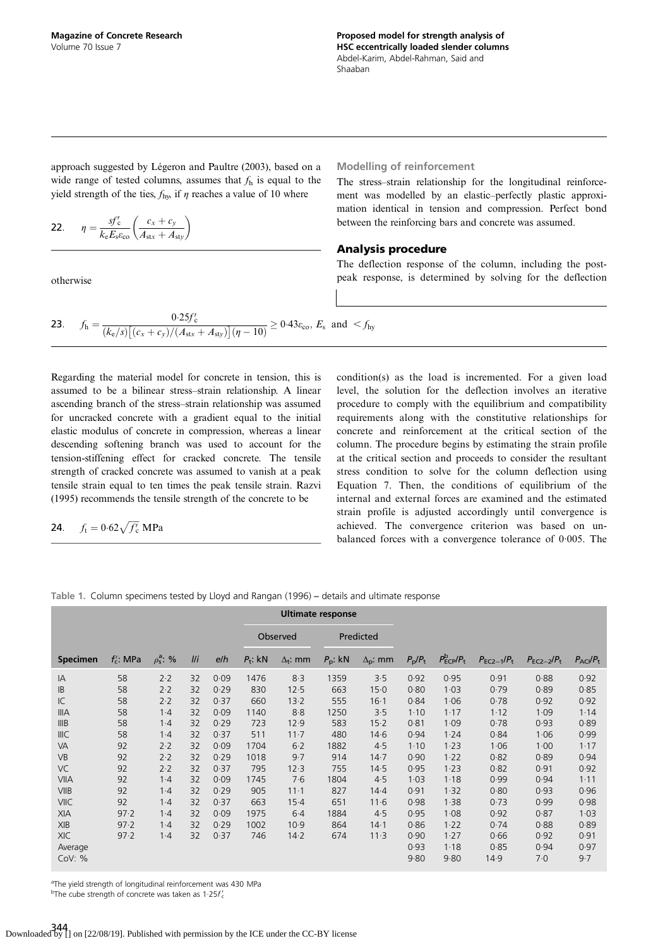<span id="page-4-0"></span>approach suggested by [Légeron and Paultre \(2003\),](#page-9-0) based on a wide range of tested columns, assumes that  $f<sub>h</sub>$  is equal to the yield strength of the ties,  $f_{\text{hy}}$ , if  $\eta$  reaches a value of 10 where

$$
\textbf{22.} \qquad \eta = \frac{sf'_c}{k_e E_s \varepsilon_{\text{co}}} \left( \frac{c_x + c_y}{A_{\text{stx}} + A_{\text{sty}}} \right)
$$

otherwise

Modelling of reinforcement

The stress–strain relationship for the longitudinal reinforcement was modelled by an elastic–perfectly plastic approximation identical in tension and compression. Perfect bond between the reinforcing bars and concrete was assumed.

# Analysis procedure

The deflection response of the column, including the postpeak response, is determined by solving for the deflection

**23.** 
$$
f_h = \frac{0.25f_c'}{(k_e/s)\left[ (c_x + c_y)/(A_{\text{str}} + A_{\text{sty}}) \right] (\eta - 10)} \ge 0.43\varepsilon_{\text{co}}, E_s \text{ and } < f_{\text{hy}}
$$

Regarding the material model for concrete in tension, this is assumed to be a bilinear stress–strain relationship. A linear ascending branch of the stress–strain relationship was assumed for uncracked concrete with a gradient equal to the initial elastic modulus of concrete in compression, whereas a linear descending softening branch was used to account for the tension-stiffening effect for cracked concrete. The tensile strength of cracked concrete was assumed to vanish at a peak tensile strain equal to ten times the peak tensile strain. [Razvi](#page-9-0) [\(1995\)](#page-9-0) recommends the tensile strength of the concrete to be

$$
24. \t ft = 0.62 \sqrt{f'_{c}} MPa
$$

condition(s) as the load is incremented. For a given load level, the solution for the deflection involves an iterative procedure to comply with the equilibrium and compatibility requirements along with the constitutive relationships for concrete and reinforcement at the critical section of the column. The procedure begins by estimating the strain profile at the critical section and proceeds to consider the resultant stress condition to solve for the column deflection using [Equation 7.](#page-2-0) Then, the conditions of equilibrium of the internal and external forces are examined and the estimated strain profile is adjusted accordingly until convergence is achieved. The convergence criterion was based on unbalanced forces with a convergence tolerance of 0·005. The

|  | Table 1. Column specimens tested by Lloyd and Rangan (1996) - details and ultimate response |  |  |  |  |
|--|---------------------------------------------------------------------------------------------|--|--|--|--|
|  |                                                                                             |  |  |  |  |

|                 |              |                      |     |      |                       |                 | <b>Ultimate response</b> |                   |                       |                                          |                 |                 |                               |
|-----------------|--------------|----------------------|-----|------|-----------------------|-----------------|--------------------------|-------------------|-----------------------|------------------------------------------|-----------------|-----------------|-------------------------------|
|                 |              |                      |     |      | Predicted<br>Observed |                 |                          |                   |                       |                                          |                 |                 |                               |
| <b>Specimen</b> | $f'_c$ : MPa | $\rho_s^{\rm a}$ : % | I/I | e/h  | $P_t$ : kN            | $\Delta_t$ : mm | $P_{\rm p}$ : kN         | $\Delta_{p}$ : mm | $P_{\rm p}/P_{\rm t}$ | $P_{\text{ECP}}^{\text{b}}/P_{\text{t}}$ | $P_{EC2-1}/P_t$ | $P_{EC2-2}/P_t$ | $P_{\text{ACI}}/P_{\text{t}}$ |
| IA              | 58           | 2.2                  | 32  | 0.09 | 1476                  | 8.3             | 1359                     | 3.5               | 0.92                  | 0.95                                     | 0.91            | 0.88            | 0.92                          |
| B               | 58           | 2.2                  | 32  | 0.29 | 830                   | 12.5            | 663                      | 15.0              | 0.80                  | 1.03                                     | 0.79            | 0.89            | 0.85                          |
| IC              | 58           | 2.2                  | 32  | 0.37 | 660                   | 13.2            | 555                      | $16-1$            | 0.84                  | 1.06                                     | 0.78            | 0.92            | 0.92                          |
| <b>IIIA</b>     | 58           | 1.4                  | 32  | 0.09 | 1140                  | 8.8             | 1250                     | 3.5               | 1.10                  | 1.17                                     | 1.12            | 1.09            | 1.14                          |
| IIIB            | 58           | $1-4$                | 32  | 0.29 | 723                   | 12.9            | 583                      | $15-2$            | 0.81                  | 1.09                                     | 0.78            | 0.93            | 0.89                          |
| <b>IIIC</b>     | 58           | 1.4                  | 32  | 0.37 | 511                   | $11 - 7$        | 480                      | 14.6              | 0.94                  | 1.24                                     | 0.84            | 1.06            | 0.99                          |
| VA              | 92           | 2.2                  | 32  | 0.09 | 1704                  | $6-2$           | 1882                     | 4.5               | 1.10                  | 1.23                                     | 1.06            | 1.00            | 1.17                          |
| <b>VB</b>       | 92           | 2.2                  | 32  | 0.29 | 1018                  | 9.7             | 914                      | 14.7              | 0.90                  | 1.22                                     | 0.82            | 0.89            | 0.94                          |
| <b>VC</b>       | 92           | 2.2                  | 32  | 0.37 | 795                   | 12.3            | 755                      | 14.5              | 0.95                  | 1.23                                     | 0.82            | 0.91            | 0.92                          |
| <b>VIIA</b>     | 92           | $1-4$                | 32  | 0.09 | 1745                  | 7.6             | 1804                     | 4.5               | 1.03                  | 1.18                                     | 0.99            | 0.94            | $1 - 11$                      |
| <b>VIIB</b>     | 92           | 1.4                  | 32  | 0.29 | 905                   | $11 - 1$        | 827                      | 14.4              | 0.91                  | 1.32                                     | 0.80            | 0.93            | 0.96                          |
| <b>VIIC</b>     | 92           | 1.4                  | 32  | 0.37 | 663                   | $15-4$          | 651                      | 11.6              | 0.98                  | 1.38                                     | 0.73            | 0.99            | 0.98                          |
| <b>XIA</b>      | 97.2         | $1-4$                | 32  | 0.09 | 1975                  | $6-4$           | 1884                     | 4.5               | 0.95                  | 1.08                                     | 0.92            | 0.87            | 1.03                          |
| XIB             | 97.2         | 1.4                  | 32  | 0.29 | 1002                  | 10.9            | 864                      | 14.1              | 0.86                  | 1.22                                     | 0.74            | 0.88            | 0.89                          |
| <b>XIC</b>      | 97.2         | $1-4$                | 32  | 0.37 | 746                   | 14.2            | 674                      | 11.3              | 0.90                  | 1.27                                     | 0.66            | 0.92            | 0.91                          |
| Average         |              |                      |     |      |                       |                 |                          |                   | 0.93                  | 1.18                                     | 0.85            | 0.94            | 0.97                          |
| Cov: %          |              |                      |     |      |                       |                 |                          |                   | 9.80                  | 9.80                                     | 14.9            | 7·0             | 9.7                           |

<sup>a</sup>The yield strength of longitudinal reinforcement was 430 MPa

<sup>b</sup>The cube strength of concrete was taken as 1 $\cdot$ 25 $f_c'$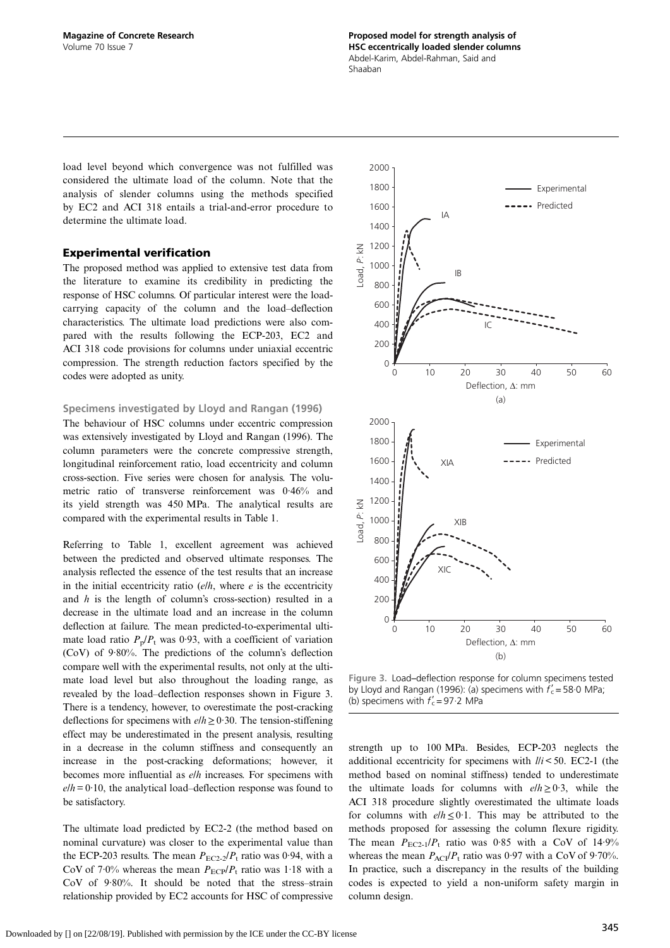load level beyond which convergence was not fulfilled was considered the ultimate load of the column. Note that the analysis of slender columns using the methods specified by EC2 and ACI 318 entails a trial-and-error procedure to determine the ultimate load.

# Experimental verification

The proposed method was applied to extensive test data from the literature to examine its credibility in predicting the response of HSC columns. Of particular interest were the loadcarrying capacity of the column and the load–deflection characteristics. The ultimate load predictions were also compared with the results following the ECP-203, EC2 and ACI 318 code provisions for columns under uniaxial eccentric compression. The strength reduction factors specified by the codes were adopted as unity.

#### Specimens investigated by [Lloyd and Rangan \(1996\)](#page-9-0)

The behaviour of HSC columns under eccentric compression was extensively investigated by [Lloyd and Rangan \(1996\).](#page-9-0) The column parameters were the concrete compressive strength, longitudinal reinforcement ratio, load eccentricity and column cross-section. Five series were chosen for analysis. The volumetric ratio of transverse reinforcement was 0·46% and its yield strength was 450 MPa. The analytical results are compared with the experimental results in [Table 1](#page-4-0).

Referring to [Table 1](#page-4-0), excellent agreement was achieved between the predicted and observed ultimate responses. The analysis reflected the essence of the test results that an increase in the initial eccentricity ratio  $(e/h)$ , where  $e$  is the eccentricity and h is the length of column's cross-section) resulted in a decrease in the ultimate load and an increase in the column deflection at failure. The mean predicted-to-experimental ultimate load ratio  $P_p/P_t$  was 0.93, with a coefficient of variation (CoV) of 9·80%. The predictions of the column's deflection compare well with the experimental results, not only at the ultimate load level but also throughout the loading range, as revealed by the load–deflection responses shown in Figure 3. There is a tendency, however, to overestimate the post-cracking deflections for specimens with  $elh \geq 0.30$ . The tension-stiffening effect may be underestimated in the present analysis, resulting in a decrease in the column stiffness and consequently an increase in the post-cracking deformations; however, it becomes more influential as  $e/h$  increases. For specimens with  $e/h = 0.10$ , the analytical load–deflection response was found to be satisfactory.

The ultimate load predicted by EC2-2 (the method based on nominal curvature) was closer to the experimental value than the ECP-203 results. The mean  $P_{EC2-2}/P_t$  ratio was 0.94, with a CoV of 7.0% whereas the mean  $P_{\text{ECP}}/P_{\text{t}}$  ratio was 1.18 with a CoV of 9·80%. It should be noted that the stress–strain relationship provided by EC2 accounts for HSC of compressive



Figure 3. Load–deflection response for column specimens tested by [Lloyd and Rangan \(1996\)](#page-9-0): (a) specimens with  $f_c' = 58.0$  MPa; (b) specimens with  $f'_{c} = 97.2$  MPa

strength up to 100 MPa. Besides, ECP-203 neglects the additional eccentricity for specimens with  $\ell / i < 50$ . EC2-1 (the method based on nominal stiffness) tended to underestimate the ultimate loads for columns with  $elh \geq 0.3$ , while the ACI 318 procedure slightly overestimated the ultimate loads for columns with  $elh \leq 0.1$ . This may be attributed to the methods proposed for assessing the column flexure rigidity. The mean  $P_{EC2-1}/P_t$  ratio was 0.85 with a CoV of 14.9% whereas the mean  $P_{ACI}/P_t$  ratio was 0.97 with a CoV of 9.70%. In practice, such a discrepancy in the results of the building codes is expected to yield a non-uniform safety margin in column design.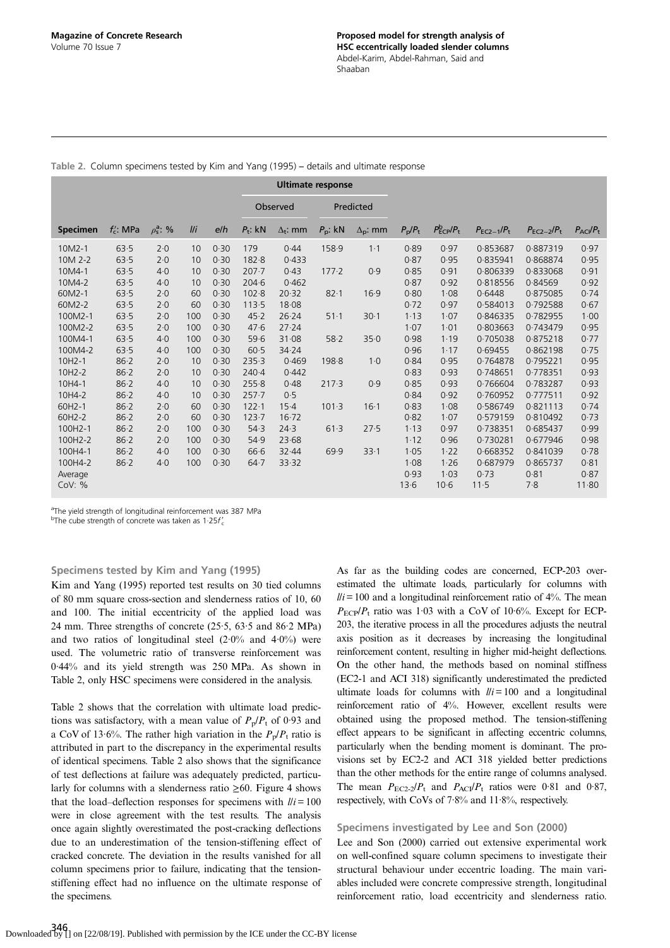|                 |             |                      |                         |      | <b>Ultimate response</b> |                 |            |                   |                       |                                          |                 |                 |                               |
|-----------------|-------------|----------------------|-------------------------|------|--------------------------|-----------------|------------|-------------------|-----------------------|------------------------------------------|-----------------|-----------------|-------------------------------|
|                 |             |                      |                         |      | Observed                 |                 | Predicted  |                   |                       |                                          |                 |                 |                               |
| <b>Specimen</b> | $f_c$ : MPa | $\rho_s^{\rm a}$ : % | $\mathbf{I}/\mathbf{i}$ | e/h  | $P_t$ : kN               | $\Delta_t$ : mm | $P_p$ : kN | $\Delta_{p}$ : mm | $P_{\rm p}/P_{\rm t}$ | $P_{\text{ECP}}^{\text{b}}/P_{\text{t}}$ | $P_{EC2-1}/P_t$ | $P_{EC2-2}/P_t$ | $P_{\text{ACI}}/P_{\text{t}}$ |
| $10M2-1$        | 63.5        | 2.0                  | 10                      | 0.30 | 179                      | 0.44            | 158.9      | $1-1$             | 0.89                  | 0.97                                     | 0.853687        | 0.887319        | 0.97                          |
| 10M 2-2         | 63.5        | 2.0                  | 10                      | 0.30 | 182.8                    | 0.433           |            |                   | 0.87                  | 0.95                                     | 0.835941        | 0.868874        | 0.95                          |
| 10M4-1          | 63.5        | 4.0                  | 10                      | 0.30 | $207 - 7$                | 0.43            | 177.2      | 0.9               | 0.85                  | 0.91                                     | 0.806339        | 0.833068        | 0.91                          |
| 10M4-2          | 63.5        | 4.0                  | 10                      | 0.30 | $204 - 6$                | 0.462           |            |                   | 0.87                  | 0.92                                     | 0.818556        | 0.84569         | 0.92                          |
| 60M2-1          | 63.5        | 2.0                  | 60                      | 0.30 | 102.8                    | 20.32           | $82 - 1$   | 16.9              | 0.80                  | 1.08                                     | 0.6448          | 0.875085        | 0.74                          |
| 60M2-2          | 63.5        | 2.0                  | 60                      | 0.30 | 113.5                    | 18.08           |            |                   | 0.72                  | 0.97                                     | 0.584013        | 0.792588        | 0.67                          |
| 100M2-1         | 63.5        | 2.0                  | 100                     | 0.30 | 45.2                     | 26.24           | $51 - 1$   | 30.1              | 1.13                  | 1.07                                     | 0.846335        | 0.782955        | 1.00                          |
| 100M2-2         | 63.5        | 2.0                  | 100                     | 0.30 | 47.6                     | 27.24           |            |                   | 1.07                  | 1.01                                     | 0.803663        | 0.743479        | 0.95                          |
| 100M4-1         | 63.5        | 4.0                  | 100                     | 0.30 | 59.6                     | 31.08           | 58.2       | 35.0              | 0.98                  | 1.19                                     | 0.705038        | 0.875218        | 0.77                          |
| 100M4-2         | 63.5        | 4.0                  | 100                     | 0.30 | 60.5                     | 34.24           |            |                   | 0.96                  | 1.17                                     | 0.69455         | 0.862198        | 0.75                          |
| 10H2-1          | 86.2        | 2.0                  | 10                      | 0.30 | 235.3                    | 0.469           | 198.8      | $1-0$             | 0.84                  | 0.95                                     | 0.764878        | 0.795221        | 0.95                          |
| 10H2-2          | 86.2        | 2.0                  | 10                      | 0.30 | $240-4$                  | 0.442           |            |                   | 0.83                  | 0.93                                     | 0.748651        | 0.778351        | 0.93                          |
| 10H4-1          | 86.2        | 4.0                  | 10                      | 0.30 | 255.8                    | 0.48            | 217.3      | 0.9               | 0.85                  | 0.93                                     | 0.766604        | 0.783287        | 0.93                          |
| 10H4-2          | 86.2        | 4.0                  | 10                      | 0.30 | $257 - 7$                | 0.5             |            |                   | 0.84                  | 0.92                                     | 0.760952        | 0.777511        | 0.92                          |
| 60H2-1          | $86 - 2$    | 2.0                  | 60                      | 0.30 | 122.1                    | $15-4$          | 101.3      | 16.1              | 0.83                  | 1.08                                     | 0.586749        | 0.821113        | 0.74                          |
| 60H2-2          | 86.2        | 2.0                  | 60                      | 0.30 | 123.7                    | 16.72           |            |                   | 0.82                  | 1.07                                     | 0.579159        | 0.810492        | 0.73                          |
| 100H2-1         | $86 - 2$    | 2.0                  | 100                     | 0.30 | 54.3                     | 24.3            | 61.3       | 27.5              | 1.13                  | 0.97                                     | 0.738351        | 0.685437        | 0.99                          |
| 100H2-2         | $86 - 2$    | 2.0                  | 100                     | 0.30 | 54.9                     | 23.68           |            |                   | 1.12                  | 0.96                                     | 0.730281        | 0.677946        | 0.98                          |
| 100H4-1         | $86 - 2$    | 4.0                  | 100                     | 0.30 | 66.6                     | 32.44           | 69.9       | 33.1              | 1.05                  | 1.22                                     | 0.668352        | 0.841039        | 0.78                          |
| 100H4-2         | $86 - 2$    | 4.0                  | 100                     | 0.30 | $64 - 7$                 | 33.32           |            |                   | 1.08                  | 1.26                                     | 0.687979        | 0.865737        | 0.81                          |
| Average         |             |                      |                         |      |                          |                 |            |                   | 0.93                  | 1.03                                     | 0.73            | 0.81            | 0.87                          |
| Cov: %          |             |                      |                         |      |                          |                 |            |                   | 13.6                  | $10-6$                                   | 11.5            | 7.8             | 11.80                         |

Table 2. Column specimens tested by [Kim and Yang \(1995\)](#page-9-0) – details and ultimate response

<sup>a</sup>The yield strength of longitudinal reinforcement was 387 MPa

<sup>b</sup>The cube strength of concrete was taken as 1 $\cdot$ 25f'<sub>c</sub>

## Specimens tested by [Kim and Yang \(1995\)](#page-9-0)

[Kim and Yang \(1995\)](#page-9-0) reported test results on 30 tied columns of 80 mm square cross-section and slenderness ratios of 10, 60 and 100. The initial eccentricity of the applied load was 24 mm. Three strengths of concrete (25·5, 63·5 and 86·2 MPa) and two ratios of longitudinal steel  $(2.0\%$  and  $4.0\%)$  were used. The volumetric ratio of transverse reinforcement was 0·44% and its yield strength was 250 MPa. As shown in Table 2, only HSC specimens were considered in the analysis.

Table 2 shows that the correlation with ultimate load predictions was satisfactory, with a mean value of  $P_p/P_t$  of 0.93 and a CoV of 13.6%. The rather high variation in the  $P_p/P_t$  ratio is attributed in part to the discrepancy in the experimental results of identical specimens. Table 2 also shows that the significance of test deflections at failure was adequately predicted, particularly for columns with a slenderness ratio  $\geq 60$ . [Figure 4](#page-7-0) shows that the load–deflection responses for specimens with  $1/i = 100$ were in close agreement with the test results. The analysis once again slightly overestimated the post-cracking deflections due to an underestimation of the tension-stiffening effect of cracked concrete. The deviation in the results vanished for all column specimens prior to failure, indicating that the tensionstiffening effect had no influence on the ultimate response of the specimens.

As far as the building codes are concerned, ECP-203 overestimated the ultimate loads, particularly for columns with  $lli = 100$  and a longitudinal reinforcement ratio of 4%. The mean  $P_{\text{ECP}}/P_{\text{t}}$  ratio was 1.03 with a CoV of 10.6%. Except for ECP-203, the iterative process in all the procedures adjusts the neutral axis position as it decreases by increasing the longitudinal reinforcement content, resulting in higher mid-height deflections. On the other hand, the methods based on nominal stiffness (EC2-1 and ACI 318) significantly underestimated the predicted ultimate loads for columns with  $\ell i = 100$  and a longitudinal reinforcement ratio of 4%. However, excellent results were obtained using the proposed method. The tension-stiffening effect appears to be significant in affecting eccentric columns, particularly when the bending moment is dominant. The provisions set by EC2-2 and ACI 318 yielded better predictions than the other methods for the entire range of columns analysed. The mean  $P_{\text{EC2-2}}/P_{\text{t}}$  and  $P_{\text{AC}}/P_{\text{t}}$  ratios were 0.81 and 0.87, respectively, with CoVs of 7·8% and 11·8%, respectively.

# Specimens investigated by [Lee and Son \(2000\)](#page-9-0)

[Lee and Son \(2000\)](#page-9-0) carried out extensive experimental work on well-confined square column specimens to investigate their structural behaviour under eccentric loading. The main variables included were concrete compressive strength, longitudinal reinforcement ratio, load eccentricity and slenderness ratio.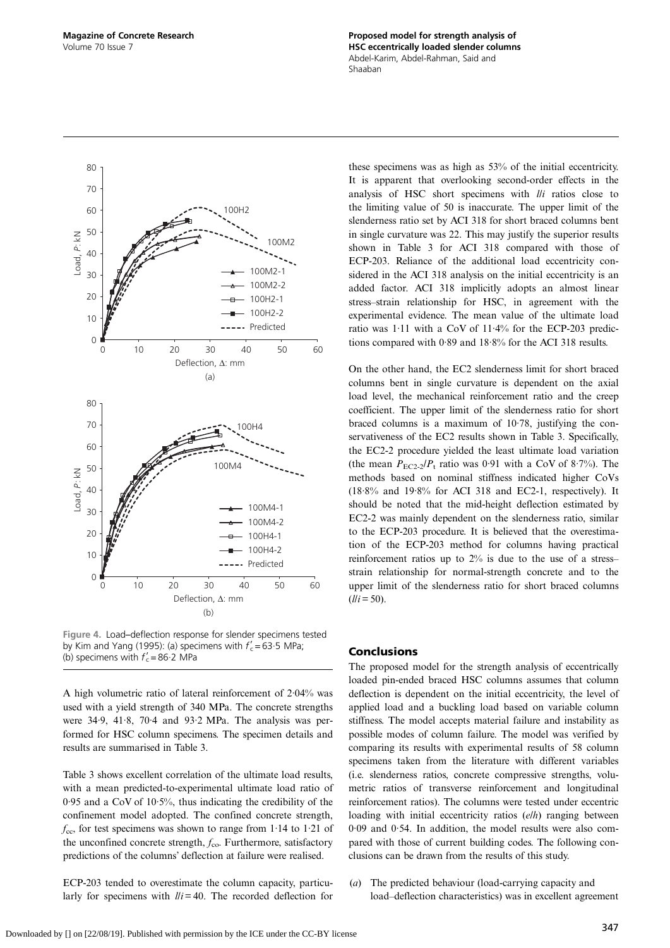<span id="page-7-0"></span>

Figure 4. Load–deflection response for slender specimens tested by [Kim and Yang \(1995\)](#page-9-0): (a) specimens with  $f'_{c} = 63.5$  MPa; (b) specimens with  $f'_c = 86.2$  MPa

A high volumetric ratio of lateral reinforcement of 2·04% was used with a yield strength of 340 MPa. The concrete strengths were 34·9, 41·8, 70·4 and 93·2 MPa. The analysis was performed for HSC column specimens. The specimen details and results are summarised in [Table 3.](#page-8-0)

[Table 3](#page-8-0) shows excellent correlation of the ultimate load results, with a mean predicted-to-experimental ultimate load ratio of 0·95 and a CoV of 10·5%, thus indicating the credibility of the confinement model adopted. The confined concrete strength,  $f_{\rm cc}$ , for test specimens was shown to range from 1.14 to 1.21 of the unconfined concrete strength,  $f_{\rm co}$ . Furthermore, satisfactory predictions of the columns' deflection at failure were realised.

ECP-203 tended to overestimate the column capacity, particularly for specimens with  $\ell / i = 40$ . The recorded deflection for these specimens was as high as 53% of the initial eccentricity. It is apparent that overlooking second-order effects in the analysis of HSC short specimens with l/i ratios close to the limiting value of 50 is inaccurate. The upper limit of the slenderness ratio set by ACI 318 for short braced columns bent in single curvature was 22. This may justify the superior results shown in [Table 3](#page-8-0) for ACI 318 compared with those of ECP-203. Reliance of the additional load eccentricity considered in the ACI 318 analysis on the initial eccentricity is an added factor. ACI 318 implicitly adopts an almost linear stress–strain relationship for HSC, in agreement with the experimental evidence. The mean value of the ultimate load ratio was 1·11 with a CoV of 11·4% for the ECP-203 predictions compared with 0·89 and 18·8% for the ACI 318 results.

On the other hand, the EC2 slenderness limit for short braced columns bent in single curvature is dependent on the axial load level, the mechanical reinforcement ratio and the creep coefficient. The upper limit of the slenderness ratio for short braced columns is a maximum of 10·78, justifying the conservativeness of the EC2 results shown in [Table 3.](#page-8-0) Specifically, the EC2-2 procedure yielded the least ultimate load variation (the mean  $P_{\text{EC2-2}}/P_{\text{t}}$  ratio was 0.91 with a CoV of 8.7%). The methods based on nominal stiffness indicated higher CoVs (18·8% and 19·8% for ACI 318 and EC2-1, respectively). It should be noted that the mid-height deflection estimated by EC2-2 was mainly dependent on the slenderness ratio, similar to the ECP-203 procedure. It is believed that the overestimation of the ECP-203 method for columns having practical reinforcement ratios up to 2% is due to the use of a stress– strain relationship for normal-strength concrete and to the upper limit of the slenderness ratio for short braced columns  $(l/i = 50)$ .

# Conclusions

The proposed model for the strength analysis of eccentrically loaded pin-ended braced HSC columns assumes that column deflection is dependent on the initial eccentricity, the level of applied load and a buckling load based on variable column stiffness. The model accepts material failure and instability as possible modes of column failure. The model was verified by comparing its results with experimental results of 58 column specimens taken from the literature with different variables (i.e. slenderness ratios, concrete compressive strengths, volumetric ratios of transverse reinforcement and longitudinal reinforcement ratios). The columns were tested under eccentric loading with initial eccentricity ratios (elh) ranging between 0·09 and 0·54. In addition, the model results were also compared with those of current building codes. The following conclusions can be drawn from the results of this study.

(a) The predicted behaviour (load-carrying capacity and load–deflection characteristics) was in excellent agreement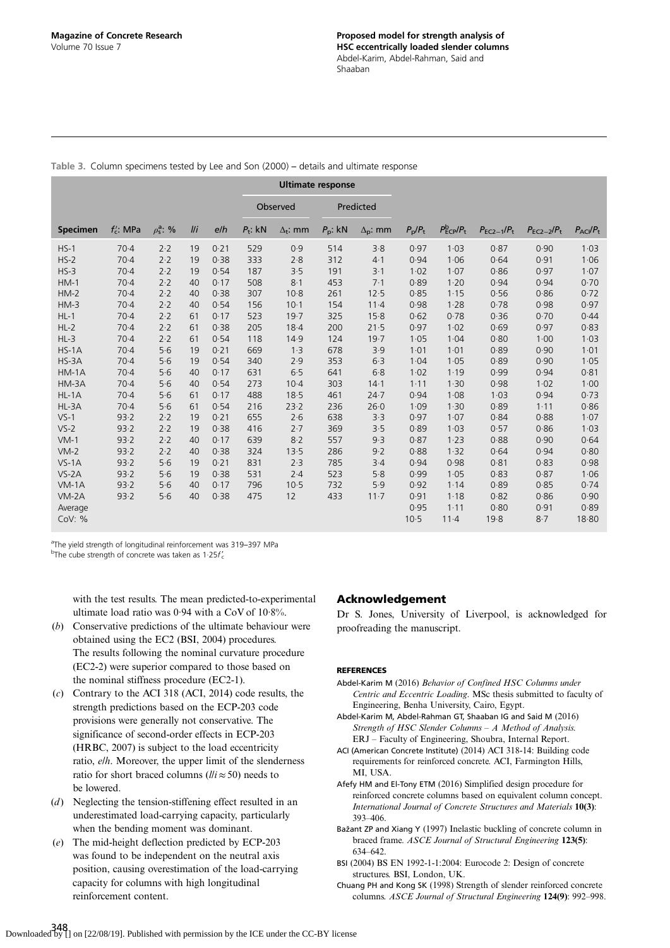|                 |              |                      |     |      |            |                 | <b>Ultimate response</b> |                   |                       |                                          |                 |                 |                               |
|-----------------|--------------|----------------------|-----|------|------------|-----------------|--------------------------|-------------------|-----------------------|------------------------------------------|-----------------|-----------------|-------------------------------|
|                 |              |                      |     |      |            | Observed        | Predicted                |                   |                       |                                          |                 |                 |                               |
| <b>Specimen</b> | $f'_c$ : MPa | $\rho_s^{\rm a}$ : % | I/I | e/h  | $P_t$ : kN | $\Delta_t$ : mm | $P_{\rm p}$ : kN         | $\Delta_{p}$ : mm | $P_{\rm p}/P_{\rm t}$ | $P_{\text{ECP}}^{\text{b}}/P_{\text{t}}$ | $P_{EC2-1}/P_t$ | $P_{EC2-2}/P_t$ | $P_{\text{ACI}}/P_{\text{t}}$ |
| $HS-1$          | $70-4$       | 2.2                  | 19  | 0.21 | 529        | 0.9             | 514                      | 3.8               | 0.97                  | 1.03                                     | 0.87            | 0.90            | 1.03                          |
| $HS-2$          | $70-4$       | 2.2                  | 19  | 0.38 | 333        | 2.8             | 312                      | $4-1$             | 0.94                  | 1.06                                     | 0.64            | 0.91            | 1.06                          |
| $HS-3$          | $70-4$       | 2.2                  | 19  | 0.54 | 187        | 3.5             | 191                      | $3-1$             | 1.02                  | 1.07                                     | 0.86            | 0.97            | 1.07                          |
| $HM-1$          | 70.4         | 2.2                  | 40  | 0.17 | 508        | 8.1             | 453                      | 7.1               | 0.89                  | 1.20                                     | 0.94            | 0.94            | 0.70                          |
| $HM-2$          | $70-4$       | 2.2                  | 40  | 0.38 | 307        | 10.8            | 261                      | 12.5              | 0.85                  | 1.15                                     | 0.56            | 0.86            | 0.72                          |
| $HM-3$          | $70-4$       | 2.2                  | 40  | 0.54 | 156        | $10-1$          | 154                      | $11 - 4$          | 0.98                  | 1.28                                     | 0.78            | 0.98            | 0.97                          |
| $HL-1$          | $70-4$       | 2.2                  | 61  | 0.17 | 523        | 19.7            | 325                      | 15.8              | 0.62                  | 0.78                                     | 0.36            | 0.70            | 0.44                          |
| $HL-2$          | $70-4$       | 2.2                  | 61  | 0.38 | 205        | 18.4            | 200                      | 21.5              | 0.97                  | 1.02                                     | 0.69            | 0.97            | 0.83                          |
| $HL-3$          | $70-4$       | 2.2                  | 61  | 0.54 | 118        | 14.9            | 124                      | 19.7              | 1.05                  | 1.04                                     | 0.80            | 1.00            | 1.03                          |
| $HS-1A$         | $70-4$       | 5.6                  | 19  | 0.21 | 669        | 1.3             | 678                      | 3.9               | 1.01                  | 1.01                                     | 0.89            | 0.90            | 1.01                          |
| $HS-3A$         | $70-4$       | 5.6                  | 19  | 0.54 | 340        | 2.9             | 353                      | 6.3               | 1.04                  | 1.05                                     | 0.89            | 0.90            | 1.05                          |
| $HM-1A$         | $70-4$       | 5.6                  | 40  | 0.17 | 631        | 6.5             | 641                      | 6.8               | 1.02                  | 1.19                                     | 0.99            | 0.94            | 0.81                          |
| HM-3A           | $70-4$       | 5.6                  | 40  | 0.54 | 273        | $10-4$          | 303                      | 14.1              | 1.11                  | 1.30                                     | 0.98            | 1.02            | 1.00                          |
| $HL-1A$         | $70-4$       | 5.6                  | 61  | 0.17 | 488        | 18.5            | 461                      | 24.7              | 0.94                  | 1.08                                     | 1.03            | 0.94            | 0.73                          |
| $HL-3A$         | $70-4$       | 5.6                  | 61  | 0.54 | 216        | 23.2            | 236                      | 26.0              | 1.09                  | 1.30                                     | 0.89            | 1.11            | 0.86                          |
| $VS-1$          | 93.2         | 2.2                  | 19  | 0.21 | 655        | 2.6             | 638                      | 3.3               | 0.97                  | 1.07                                     | 0.84            | 0.88            | 1.07                          |
| $VS-2$          | 93.2         | 2.2                  | 19  | 0.38 | 416        | 2.7             | 369                      | 3.5               | 0.89                  | 1.03                                     | 0.57            | 0.86            | 1.03                          |
| $VM-1$          | 93.2         | 2.2                  | 40  | 0.17 | 639        | $8-2$           | 557                      | 9.3               | 0.87                  | 1.23                                     | 0.88            | 0.90            | 0.64                          |
| $VM-2$          | 93.2         | 2.2                  | 40  | 0.38 | 324        | 13.5            | 286                      | 9.2               | 0.88                  | 1.32                                     | 0.64            | 0.94            | 0.80                          |
| $VS-1A$         | 93.2         | 5.6                  | 19  | 0.21 | 831        | 2.3             | 785                      | 3.4               | 0.94                  | 0.98                                     | 0.81            | 0.83            | 0.98                          |
| $VS-2A$         | 93.2         | 5.6                  | 19  | 0.38 | 531        | 2.4             | 523                      | 5.8               | 0.99                  | 1.05                                     | 0.83            | 0.87            | 1.06                          |
| $VM-1A$         | 93.2         | 5.6                  | 40  | 0.17 | 796        | 10.5            | 732                      | 5.9               | 0.92                  | 1.14                                     | 0.89            | 0.85            | 0.74                          |
| $VM-2A$         | 93.2         | 5.6                  | 40  | 0.38 | 475        | 12              | 433                      | $11 - 7$          | 0.91                  | 1.18                                     | 0.82            | 0.86            | 0.90                          |
| Average         |              |                      |     |      |            |                 |                          |                   | 0.95                  | 1.11                                     | 0.80            | 0.91            | 0.89                          |
| CoV: %          |              |                      |     |      |            |                 |                          |                   | 10.5                  | $11 - 4$                                 | 19.8            | 8.7             | 18.80                         |

<span id="page-8-0"></span>Table 3. Column specimens tested by [Lee and Son \(2000\)](#page-9-0) – details and ultimate response

<sup>a</sup>The yield strength of longitudinal reinforcement was 319-397 MPa <sup>b</sup>The cube strength of concrete was taken as 1 $\cdot$ 25f'<sub>c</sub>

with the test results. The mean predicted-to-experimental ultimate load ratio was 0·94 with a CoV of 10·8%.

- (b) Conservative predictions of the ultimate behaviour were obtained using the EC2 (BSI, 2004) procedures. The results following the nominal curvature procedure (EC2-2) were superior compared to those based on the nominal stiffness procedure (EC2-1).
- (c) Contrary to the ACI 318 (ACI, 2014) code results, the strength predictions based on the ECP-203 code provisions were generally not conservative. The significance of second-order effects in ECP-203 ([HRBC, 2007](#page-9-0)) is subject to the load eccentricity ratio, e/h. Moreover, the upper limit of the slenderness ratio for short braced columns ( $lli \approx 50$ ) needs to be lowered.
- (d) Neglecting the tension-stiffening effect resulted in an underestimated load-carrying capacity, particularly when the bending moment was dominant.
- (e) The mid-height deflection predicted by ECP-203 was found to be independent on the neutral axis position, causing overestimation of the load-carrying capacity for columns with high longitudinal reinforcement content.

# Acknowledgement

Dr S. Jones, University of Liverpool, is acknowledged for proofreading the manuscript.

# REFERENCES

- Abdel-Karim M (2016) Behavior of Confined HSC Columns under Centric and Eccentric Loading. MSc thesis submitted to faculty of Engineering, Benha University, Cairo, Egypt.
- Abdel-Karim M, Abdel-Rahman GT, Shaaban IG and Said M (2016) Strength of HSC Slender Columns – A Method of Analysis. ERJ – Faculty of Engineering, Shoubra, Internal Report.
- ACI (American Concrete Institute) (2014) ACI 318-14: Building code requirements for reinforced concrete. ACI, Farmington Hills, MI, USA.
- Afefy HM and El-Tony ETM (2016) Simplified design procedure for reinforced concrete columns based on equivalent column concept. International Journal of Concrete Structures and Materials 10(3): 393–406.
- Bažant ZP and Xiang Y (1997) Inelastic buckling of concrete column in braced frame. ASCE Journal of Structural Engineering 123(5): 634–642.
- BSI (2004) BS EN 1992-1-1:2004: Eurocode 2: Design of concrete structures. BSI, London, UK.
- Chuang PH and Kong SK (1998) Strength of slender reinforced concrete columns. ASCE Journal of Structural Engineering 124(9): 992–998.